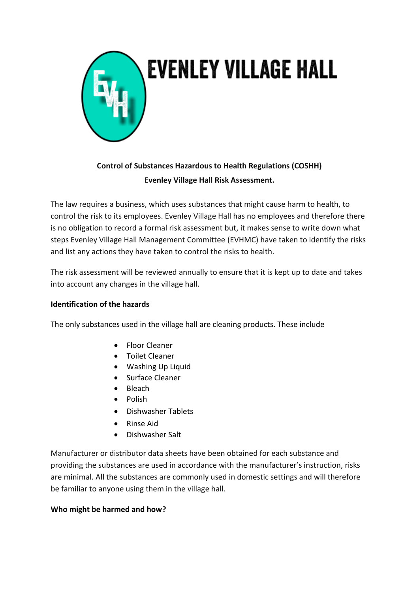

# **Control of Substances Hazardous to Health Regulations (COSHH) Evenley Village Hall Risk Assessment.**

The law requires a business, which uses substances that might cause harm to health, to control the risk to its employees. Evenley Village Hall has no employees and therefore there is no obligation to record a formal risk assessment but, it makes sense to write down what steps Evenley Village Hall Management Committee (EVHMC) have taken to identify the risks and list any actions they have taken to control the risks to health.

The risk assessment will be reviewed annually to ensure that it is kept up to date and takes into account any changes in the village hall.

### **Identification of the hazards**

The only substances used in the village hall are cleaning products. These include

- Floor Cleaner
- Toilet Cleaner
- Washing Up Liquid
- Surface Cleaner
- Bleach
- Polish
- Dishwasher Tablets
- Rinse Aid
- Dishwasher Salt

Manufacturer or distributor data sheets have been obtained for each substance and providing the substances are used in accordance with the manufacturer's instruction, risks are minimal. All the substances are commonly used in domestic settings and will therefore be familiar to anyone using them in the village hall.

### **Who might be harmed and how?**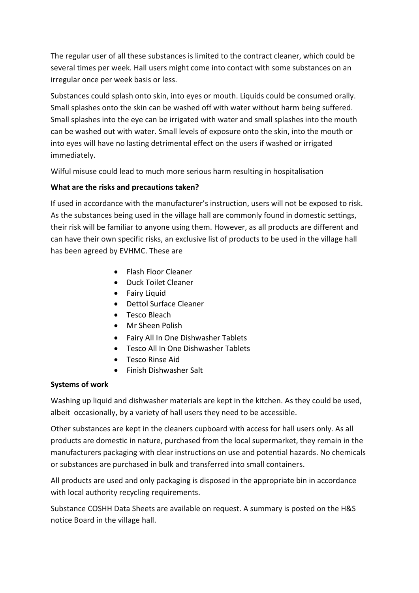The regular user of all these substances is limited to the contract cleaner, which could be several times per week. Hall users might come into contact with some substances on an irregular once per week basis or less.

Substances could splash onto skin, into eyes or mouth. Liquids could be consumed orally. Small splashes onto the skin can be washed off with water without harm being suffered. Small splashes into the eye can be irrigated with water and small splashes into the mouth can be washed out with water. Small levels of exposure onto the skin, into the mouth or into eyes will have no lasting detrimental effect on the users if washed or irrigated immediately.

Wilful misuse could lead to much more serious harm resulting in hospitalisation

## **What are the risks and precautions taken?**

If used in accordance with the manufacturer's instruction, users will not be exposed to risk. As the substances being used in the village hall are commonly found in domestic settings, their risk will be familiar to anyone using them. However, as all products are different and can have their own specific risks, an exclusive list of products to be used in the village hall has been agreed by EVHMC. These are

- Flash Floor Cleaner
- Duck Toilet Cleaner
- Fairy Liquid
- Dettol Surface Cleaner
- Tesco Bleach
- Mr Sheen Polish
- Fairy All In One Dishwasher Tablets
- Tesco All In One Dishwasher Tablets
- Tesco Rinse Aid
- Finish Dishwasher Salt

## **Systems of work**

Washing up liquid and dishwasher materials are kept in the kitchen. As they could be used, albeit occasionally, by a variety of hall users they need to be accessible.

Other substances are kept in the cleaners cupboard with access for hall users only. As all products are domestic in nature, purchased from the local supermarket, they remain in the manufacturers packaging with clear instructions on use and potential hazards. No chemicals or substances are purchased in bulk and transferred into small containers.

All products are used and only packaging is disposed in the appropriate bin in accordance with local authority recycling requirements.

Substance COSHH Data Sheets are available on request. A summary is posted on the H&S notice Board in the village hall.